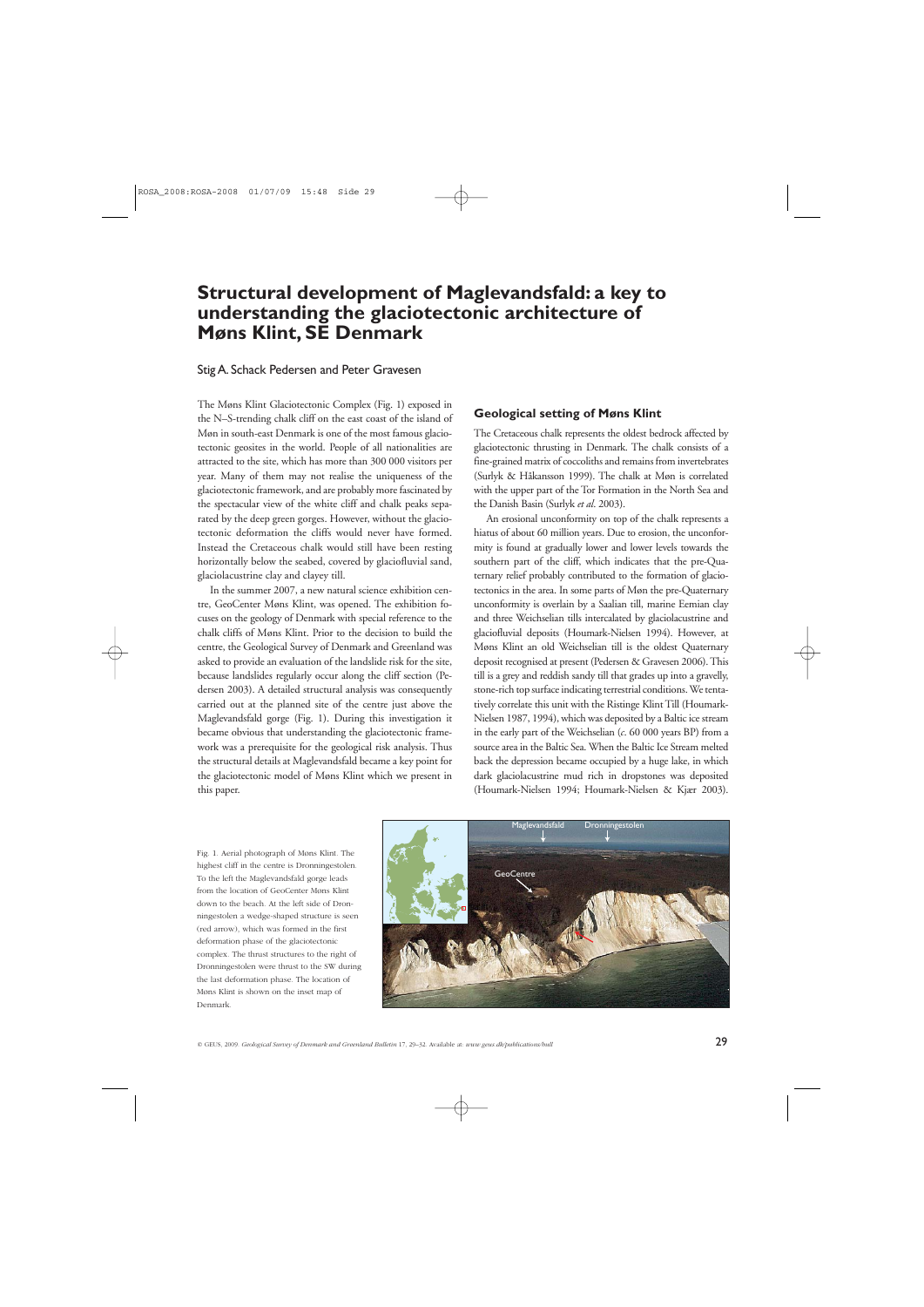# **Structural development of Maglevandsfald: a key to understanding the glaciotectonic architecture of Møns Klint, SE Denmark**

### Stig A. Schack Pedersen and Peter Gravesen

The Møns Klint Glaciotectonic Complex (Fig. 1) exposed in the N–S-trending chalk cliff on the east coast of the island of Møn in south-east Denmark is one of the most famous glaciotectonic geosites in the world. People of all nationalities are attracted to the site, which has more than 300 000 visitors per year. Many of them may not realise the uniqueness of the glaciotectonic framework, and are probably more fascinated by the spectacular view of the white cliff and chalk peaks separated by the deep green gorges. However, without the glaciotectonic deformation the cliffs would never have formed. Instead the Cretaceous chalk would still have been resting horizontally below the seabed, covered by glaciofluvial sand, glaciolacustrine clay and clayey till.

In the summer 2007, a new natural science exhibition centre, GeoCenter Møns Klint, was opened. The exhibition focuses on the geology of Denmark with special reference to the chalk cliffs of Møns Klint. Prior to the decision to build the centre, the Geological Survey of Denmark and Greenland was asked to provide an evaluation of the landslide risk for the site, because landslides regularly occur along the cliff section (Pedersen 2003). A detailed structural analysis was consequently carried out at the planned site of the centre just above the Maglevandsfald gorge (Fig. 1). During this investigation it became obvious that understanding the glaciotectonic framework was a prerequisite for the geological risk analysis. Thus the structural details at Maglevandsfald became a key point for the glaciotectonic model of Møns Klint which we present in this paper.

## **Geological setting of Møns Klint**

The Cretaceous chalk represents the oldest bedrock affected by glaciotectonic thrusting in Denmark. The chalk consists of a fine-grained matrix of coccoliths and remains from invertebrates (Surlyk & Håkansson 1999). The chalk at Møn is correlated with the upper part of the Tor Formation in the North Sea and the Danish Basin (Surlyk *et al*. 2003).

An erosional unconformity on top of the chalk represents a hiatus of about 60 million years. Due to erosion, the unconformity is found at gradually lower and lower levels towards the southern part of the cliff, which indicates that the pre-Quaternary relief probably contributed to the formation of glaciotectonics in the area. In some parts of Møn the pre-Quaternary unconformity is overlain by a Saalian till, marine Eemian clay and three Weichselian tills intercalated by glaciolacustrine and glaciofluvial deposits (Houmark-Nielsen 1994). However, at Møns Klint an old Weichselian till is the oldest Quaternary deposit recognised at present (Pedersen & Gravesen 2006). This till is a grey and reddish sandy till that grades up into a gravelly, stone-rich top surface indicating terrestrial conditions. We tenta tively correlate this unit with the Ristinge Klint Till (Houmark-Nielsen 1987, 1994), which was deposited by a Baltic ice stream in the early part of the Weichselian (*c*. 60 000 years BP) from a source area in the Baltic Sea. When the Baltic Ice Stream melted back the depression became occupied by a huge lake, in which dark glaciolacustrine mud rich in dropstones was deposited (Houmark-Nielsen 1994; Houmark-Nielsen & Kjær 2003).

Fig. 1. Aerial photograph of Møns Klint. The highest cliff in the centre is Dronningestolen. To the left the Maglevandsfald gorge leads from the location of GeoCenter Møns Klint down to the beach. At the left side of Dronningestolen a wedge-shaped structure is seen (red arrow), which was formed in the first deformation phase of the glaciotectonic complex. The thrust structures to the right of Dronningestolen were thrust to the SW during the last deformation phase. The location of Møns Klint is shown on the inset map of Denmark.

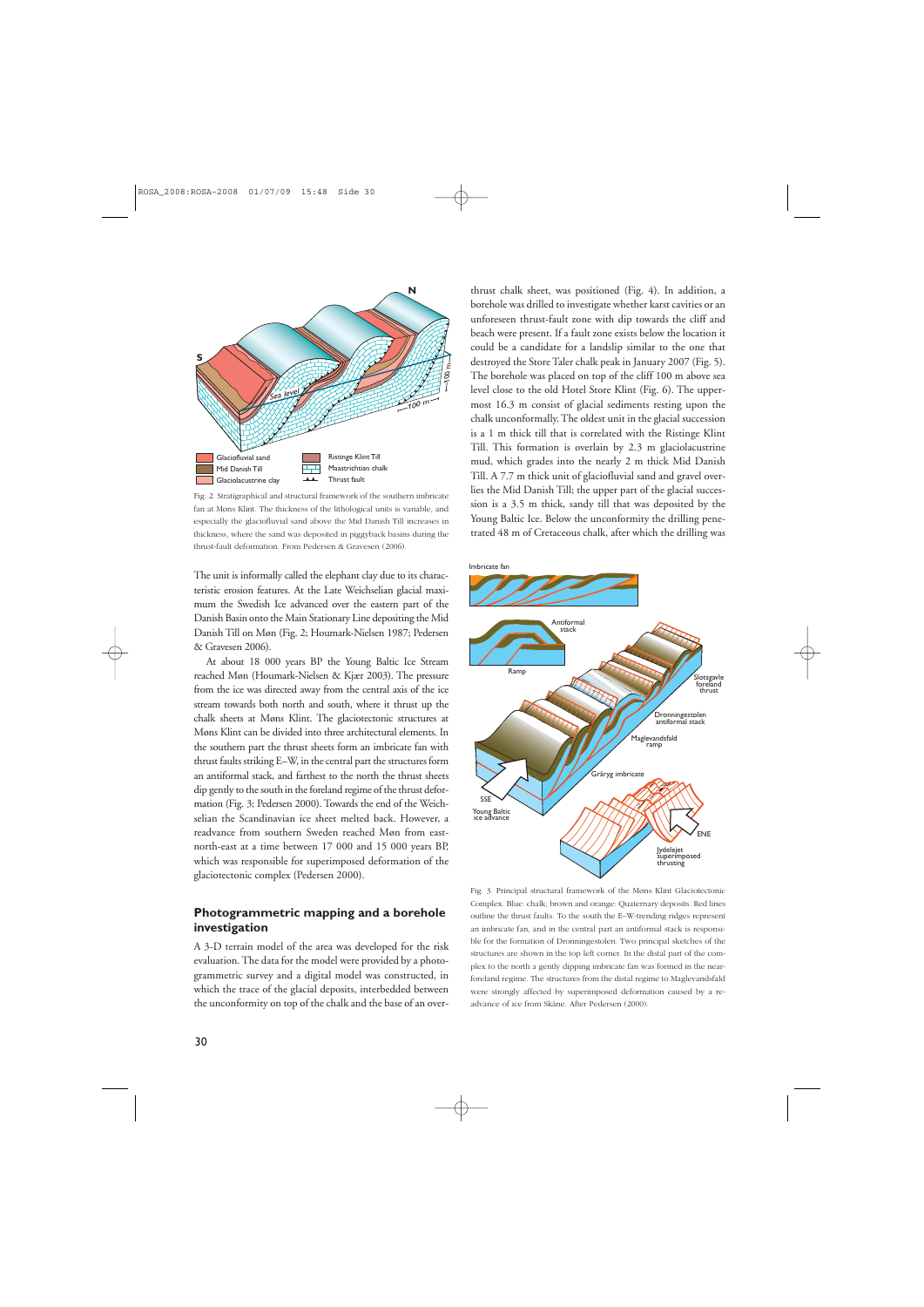

Fig. 2. Stratigraphical and structural framework of the southern imbricate fan at Møns Klint. The thickness of the lithological units is variable, and especially the glaciofluvial sand above the Mid Danish Till increases in thickness, where the sand was deposited in piggyback basins during the thrust-fault deformation. From Pedersen & Gravesen (2006).

The unit is informally called the elephant clay due to its characteristic erosion features. At the Late Weichselian glacial maximum the Swedish Ice advanced over the eastern part of the Danish Basin onto the Main Stationary Line depositing the Mid Danish Till on Møn (Fig. 2; Houmark-Nielsen 1987; Pedersen & Gravesen 2006).

At about 18 000 years BP the Young Baltic Ice Stream reached Møn (Houmark-Nielsen & Kjær 2003). The pressure from the ice was directed away from the central axis of the ice stream towards both north and south, where it thrust up the chalk sheets at Møns Klint. The glaciotectonic structures at Møns Klint can be divided into three architectural elements. In the southern part the thrust sheets form an imbricate fan with thrust faults striking E–W, in the central part the structures form an antiformal stack, and farthest to the north the thrust sheets dip gently to the south in the foreland regime of the thrust deformation (Fig. 3; Pedersen 2000). Towards the end of the Weichselian the Scandinavian ice sheet melted back. However, a readvance from southern Sweden reached Møn from eastnorth-east at a time between 17 000 and 15 000 years BP, which was responsible for superimposed deformation of the glaciotectonic complex (Pedersen 2000).

# **Photogrammetric mapping and a borehole investigation**

A 3-D terrain model of the area was developed for the risk evaluation. The data for the model were provided by a photogrammetric survey and a digital model was constructed, in which the trace of the glacial deposits, interbedded between the unconformity on top of the chalk and the base of an over-

thrust chalk sheet, was positioned (Fig. 4). In addition, a borehole was drilled to investigate whether karst cavities or an unforeseen thrust-fault zone with dip towards the cliff and beach were present. If a fault zone exists below the location it could be a candidate for a landslip similar to the one that destroyed the Store Taler chalk peak in January 2007 (Fig. 5). The borehole was placed on top of the cliff 100 m above sea level close to the old Hotel Store Klint (Fig. 6). The uppermost 16.3 m consist of glacial sediments resting upon the chalk unconformally. The oldest unit in the glacial succession is a 1 m thick till that is correlated with the Ristinge Klint Till. This formation is overlain by 2.3 m glaciolacustrine mud, which grades into the nearly 2 m thick Mid Danish Till. A 7.7 m thick unit of glaciofluvial sand and gravel overlies the Mid Danish Till; the upper part of the glacial succession is a 3.5 m thick, sandy till that was deposited by the Young Baltic Ice. Below the unconformity the drilling penetrated 48 m of Cretaceous chalk, after which the drilling was



Fig. 3. Principal structural framework of the Møns Klint Glaciotectonic Complex. Blue: chalk; brown and orange: Quaternary deposits. Red lines outline the thrust faults. To the south the E–W-trending ridges represent an imbricate fan, and in the central part an antiformal stack is responsible for the formation of Dronningestolen. Two principal sketches of the structures are shown in the top left corner. In the distal part of the complex to the north a gently dipping imbricate fan was formed in the nearforeland regime. The structures from the distal regime to Maglevandsfald were strongly affected by superimposed deformation caused by a readvance of ice from Skåne. After Pedersen (2000).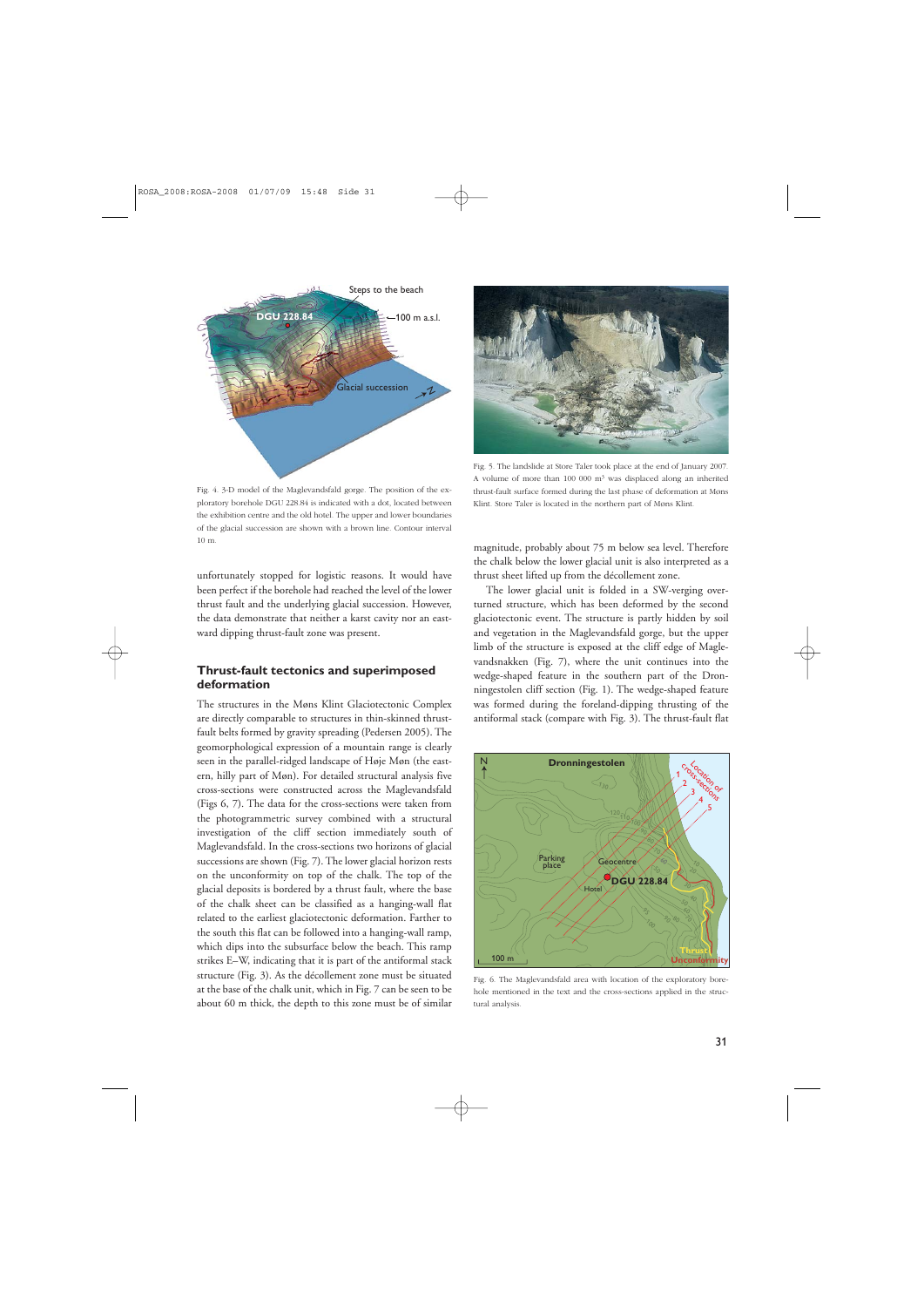

Fig. 5. The landslide at Store Taler took place at the end of January 2007. A volume of more than 100 000  $m<sup>3</sup>$  was displaced along an inherited thrust-fault surface formed during the last phase of deformation at Møns Klint. Store Taler is located in the northern part of Møns Klint.

Fig. 4. 3-D model of the Maglevandsfald gorge. The position of the exploratory borehole DGU 228.84 is indicated with a dot, located between the exhibition centre and the old hotel. The upper and lower boundaries of the glacial succession are shown with a brown line. Contour interval 10 m.

unfortunately stopped for logistic reasons. It would have been perfect if the borehole had reached the level of the lower thrust fault and the underlying glacial succession. However, the data demonstrate that neither a karst cavity nor an eastward dipping thrust-fault zone was present.

# **Thrust-fault tectonics and superimposed deformation**

The structures in the Møns Klint Glaciotectonic Complex are directly comparable to structures in thin-skinned thrustfault belts formed by gravity spreading (Pedersen 2005). The geomorphological expression of a mountain range is clearly seen in the parallel-ridged landscape of Høje Møn (the eastern, hilly part of Møn). For detailed structural analysis five cross-sections were constructed across the Maglevandsfald (Figs 6, 7). The data for the cross-sections were taken from the photogrammetric survey combined with a structural investigation of the cliff section immediately south of Maglevandsfald. In the cross-sections two horizons of glacial successions are shown (Fig. 7). The lower glacial horizon rests on the unconformity on top of the chalk. The top of the glacial deposits is bordered by a thrust fault, where the base of the chalk sheet can be classified as a hanging-wall flat related to the earliest glaciotectonic deformation. Farther to the south this flat can be followed into a hanging-wall ramp, which dips into the subsurface below the beach. This ramp strikes E–W, indicating that it is part of the antiformal stack structure (Fig. 3). As the décollement zone must be situated at the base of the chalk unit, which in Fig. 7 can be seen to be about 60 m thick, the depth to this zone must be of similar magnitude, probably about 75 m below sea level. Therefore the chalk below the lower glacial unit is also interpreted as a thrust sheet lifted up from the décollement zone.

The lower glacial unit is folded in a SW-verging overturned structure, which has been deformed by the second glaciotectonic event. The structure is partly hidden by soil and vegetation in the Maglevandsfald gorge, but the upper limb of the structure is exposed at the cliff edge of Maglevandsnakken (Fig. 7), where the unit continues into the wedge-shaped feature in the southern part of the Dronningestolen cliff section (Fig. 1). The wedge-shaped feature was formed during the foreland-dipping thrusting of the antiformal stack (compare with Fig. 3). The thrust-fault flat



Fig. 6. The Maglevandsfald area with location of the exploratory borehole mentioned in the text and the cross-sections applied in the structural analysis.